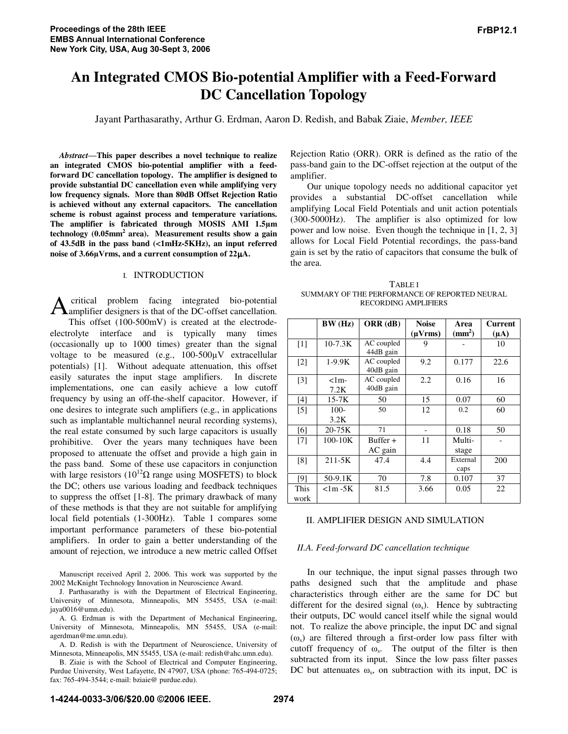# **An Integrated CMOS Bio-potential Amplifier with a Feed-Forward DC Cancellation Topology**

Jayant Parthasarathy, Arthur G. Erdman, Aaron D. Redish, and Babak Ziaie, *Member, IEEE*

*Abstract***-This paper describes a novel technique to realize an integrated CMOS bio-potential amplifier with a feedforward DC cancellation topology. The amplifier is designed to provide substantial DC cancellation even while amplifying very low frequency signals. More than 80dB Offset Rejection Ratio is achieved without any external capacitors. The cancellation scheme is robust against process and temperature variations.** The amplifier is fabricated through MOSIS AMI 1.5µm **technology (0.05mm2 area). Measurement results show a gain of 43.5dB in the pass band (<1mHz-5KHz), an input referred** noise of 3.66µVrms, and a current consumption of 22µA.

# I. INTRODUCTION

critical problem facing integrated bio-potential A critical problem facing integrated bio-potential<br>amplifier designers is that of the DC-offset cancellation. This offset (100-500mV) is created at the electrodeelectrolyte interface and is typically many times (occasionally up to 1000 times) greater than the signal voltage to be measured (e.g.,  $100-500\mu\text{V}$  extracellular potentials) [1]. Without adequate attenuation, this offset easily saturates the input stage amplifiers. In discrete implementations, one can easily achieve a low cutoff frequency by using an off-the-shelf capacitor. However, if one desires to integrate such amplifiers (e.g., in applications such as implantable multichannel neural recording systems), the real estate consumed by such large capacitors is usually prohibitive. Over the years many techniques have been proposed to attenuate the offset and provide a high gain in the pass band. Some of these use capacitors in conjunction with large resistors  $(10^{12} \Omega \text{ range using MOSFETS})$  to block the DC; others use various loading and feedback techniques to suppress the offset [1-8]. The primary drawback of many of these methods is that they are not suitable for amplifying local field potentials (1-300Hz). Table 1 compares some important performance parameters of these bio-potential amplifiers. In order to gain a better understanding of the amount of rejection, we introduce a new metric called Offset

Manuscript received April 2, 2006. This work was supported by the 2002 McKnight Technology Innovation in Neuroscience Award.

J. Parthasarathy is with the Department of Electrical Engineering, University of Minnesota, Minneapolis, MN 55455, USA (e-mail: jaya0016@umn.edu).

A. G. Erdman is with the Department of Mechanical Engineering, University of Minnesota, Minneapolis, MN 55455, USA (e-mail: agerdman@me.umn.edu).

A. D. Redish is with the Department of Neuroscience, University of Minnesota, Minneapolis, MN 55455, USA (e-mail: redish@ahc.umn.edu).

B. Ziaie is with the School of Electrical and Computer Engineering, Purdue University, West Lafayette, IN 47907, USA (phone: 765-494-0725; fax: 765-494-3544; e-mail: bziaie@ purdue.edu).

Rejection Ratio (ORR). ORR is defined as the ratio of the pass-band gain to the DC-offset rejection at the output of the amplifier.

Our unique topology needs no additional capacitor yet provides a substantial DC-offset cancellation while amplifying Local Field Potentials and unit action potentials (300-5000Hz). The amplifier is also optimized for low power and low noise. Even though the technique in [1, 2, 3] allows for Local Field Potential recordings, the pass-band gain is set by the ratio of capacitors that consume the bulk of the area.

TABLE I SUMMARY OF THE PERFORMANCE OF REPORTED NEURAL RECORDING AMPLIFIERS

|                   | BW(Hz)           | ORR (dB)                | <b>Noise</b> | Area            | <b>Current</b> |
|-------------------|------------------|-------------------------|--------------|-----------------|----------------|
|                   |                  |                         | $(\mu Vrms)$ | $\text{mm}^2$ ) | $(\mu A)$      |
| $\lceil 1 \rceil$ | $10-7.3K$        | AC coupled<br>44dB gain | 9            |                 | 10             |
| $[2]$             | $1-9.9K$         | AC coupled<br>40dB gain | 9.2          | 0.177           | 22.6           |
| $[3]$             | $<$ 1m-<br>7.2K  | AC coupled<br>40dB gain | 2.2          | 0.16            | 16             |
| $[4]$             | $15-7K$          | 50                      | 15           | 0.07            | 60             |
| [5]               | $100 -$          | 50                      | 12           | 0.2             | 60             |
|                   | 3.2K             |                         |              |                 |                |
| [6]               | $20 - 75K$       | 71                      |              | 0.18            | 50             |
| [7]               | $100 - 10K$      | Buffer $+$              | 11           | Multi-          |                |
|                   |                  | AC gain                 |              | stage           |                |
| [8]               | $211 - 5K$       | 47.4                    | 4.4          | External        | 200            |
|                   |                  |                         |              | caps            |                |
| [9]               | 50-9.1K          | 70                      | 7.8          | 0.107           | 37             |
| This              | $\langle$ 1m -5K | 81.5                    | 3.66         | 0.05            | 22             |
| work              |                  |                         |              |                 |                |

## II. AMPLIFIER DESIGN AND SIMULATION

## *II.A. Feed-forward DC cancellation technique*

In our technique, the input signal passes through two paths designed such that the amplitude and phase characteristics through either are the same for DC but different for the desired signal  $(\omega_s)$ . Hence by subtracting their outputs, DC would cancel itself while the signal would not. To realize the above principle, the input DC and signal  $(\omega_s)$  are filtered through a first-order low pass filter with cutoff frequency of  $\omega$ <sub>s</sub>. The output of the filter is then subtracted from its input. Since the low pass filter passes DC but attenuates  $\omega_s$ , on subtraction with its input, DC is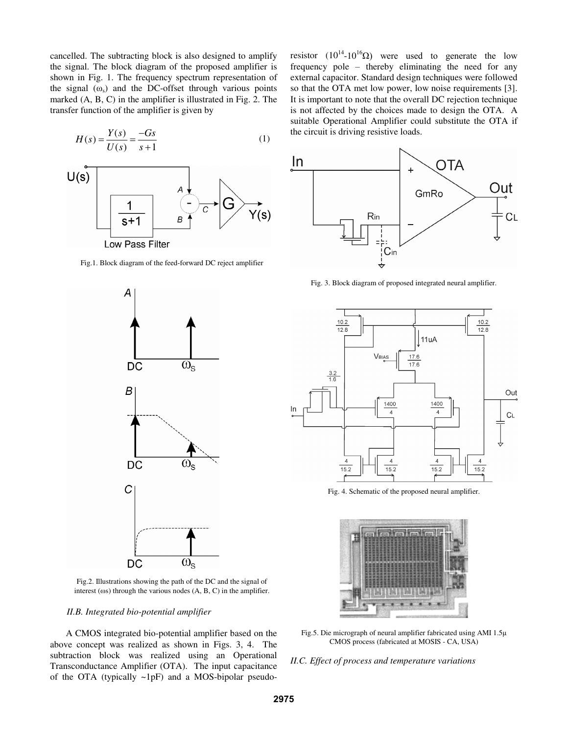cancelled. The subtracting block is also designed to amplify the signal. The block diagram of the proposed amplifier is shown in Fig. 1. The frequency spectrum representation of the signal  $(\omega_s)$  and the DC-offset through various points marked (A, B, C) in the amplifier is illustrated in Fig. 2. The transfer function of the amplifier is given by

$$
H(s) = \frac{Y(s)}{U(s)} = \frac{-Gs}{s+1}
$$
 (1)



Fig.1. Block diagram of the feed-forward DC reject amplifier



Fig.2. Illustrations showing the path of the DC and the signal of interest ( $\omega$ s) through the various nodes (A, B, C) in the amplifier.

## *II.B. Integrated bio-potential amplifier*

A CMOS integrated bio-potential amplifier based on the above concept was realized as shown in Figs. 3, 4. The subtraction block was realized using an Operational Transconductance Amplifier (OTA). The input capacitance of the OTA (typically  $\sim 1pF$ ) and a MOS-bipolar pseudo-

resistor  $(10^{14} - 10^{16}\Omega)$  were used to generate the low frequency pole - thereby eliminating the need for any external capacitor. Standard design techniques were followed so that the OTA met low power, low noise requirements [3]. It is important to note that the overall DC rejection technique is not affected by the choices made to design the OTA. A suitable Operational Amplifier could substitute the OTA if the circuit is driving resistive loads.



Fig. 3. Block diagram of proposed integrated neural amplifier.



Fig. 4. Schematic of the proposed neural amplifier.



Fig.5. Die micrograph of neural amplifier fabricated using AMI 1.5 CMOS process (fabricated at MOSIS - CA, USA)

*II.C. Effect of process and temperature variations*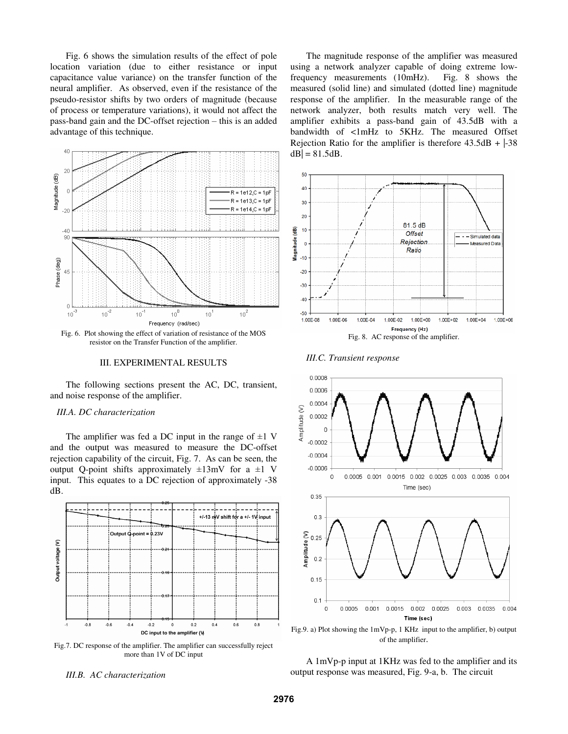Fig. 6 shows the simulation results of the effect of pole location variation (due to either resistance or input capacitance value variance) on the transfer function of the neural amplifier. As observed, even if the resistance of the pseudo-resistor shifts by two orders of magnitude (because of process or temperature variations), it would not affect the pass-band gain and the DC-offset rejection - this is an added advantage of this technique.



#### III. EXPERIMENTAL RESULTS

The following sections present the AC, DC, transient, and noise response of the amplifier.

# *III.A. DC characterization*

The amplifier was fed a DC input in the range of  $\pm 1$  V and the output was measured to measure the DC-offset rejection capability of the circuit, Fig. 7. As can be seen, the output Q-point shifts approximately  $\pm 13$ mV for a  $\pm 1$  V input. This equates to a DC rejection of approximately -38 dB.



Fig.7. DC response of the amplifier. The amplifier can successfully reject more than 1V of DC input

*III.B. AC characterization*

The magnitude response of the amplifier was measured using a network analyzer capable of doing extreme lowfrequency measurements (10mHz). Fig. 8 shows the measured (solid line) and simulated (dotted line) magnitude response of the amplifier. In the measurable range of the network analyzer, both results match very well. The amplifier exhibits a pass-band gain of 43.5dB with a bandwidth of <1mHz to 5KHz. The measured Offset Rejection Ratio for the amplifier is therefore  $43.5dB + |-38|$  $dB = 81.5dB$ .



*III.C. Transient response*



Fig.9. a) Plot showing the 1mVp-p, 1 KHz input to the amplifier, b) output of the amplifier.

## A 1mVp-p input at 1KHz was fed to the amplifier and its output response was measured, Fig. 9-a, b. The circuit